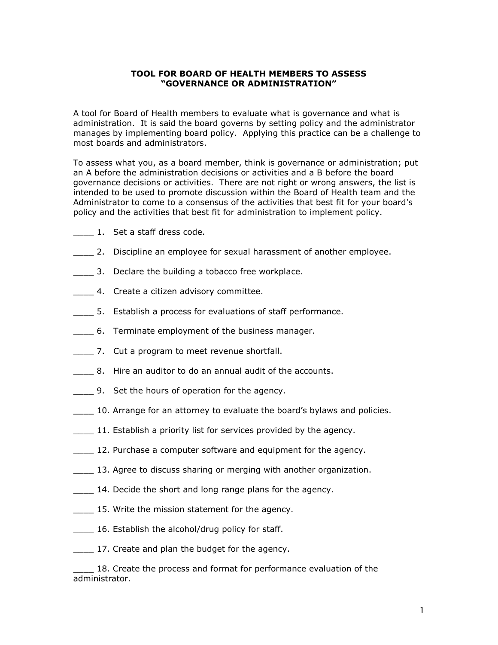## **TOOL FOR BOARD OF HEALTH MEMBERS TO ASSESS "GOVERNANCE OR ADMINISTRATION"**

A tool for Board of Health members to evaluate what is governance and what is administration. It is said the board governs by setting policy and the administrator manages by implementing board policy. Applying this practice can be a challenge to most boards and administrators.

To assess what you, as a board member, think is governance or administration; put an A before the administration decisions or activities and a B before the board governance decisions or activities. There are not right or wrong answers, the list is intended to be used to promote discussion within the Board of Health team and the Administrator to come to a consensus of the activities that best fit for your board's policy and the activities that best fit for administration to implement policy.

- \_\_\_\_ 1. Set a staff dress code.
- \_\_\_\_ 2. Discipline an employee for sexual harassment of another employee.
- **1.** 3. Declare the building a tobacco free workplace.
- 4. Create a citizen advisory committee.
- \_\_\_\_ 5. Establish a process for evaluations of staff performance.
- \_\_\_\_ 6. Terminate employment of the business manager.
- \_\_\_\_ 7. Cut a program to meet revenue shortfall.
- 8. Hire an auditor to do an annual audit of the accounts.
- \_\_\_\_ 9. Set the hours of operation for the agency.
- **10.** Arrange for an attorney to evaluate the board's bylaws and policies.
- **11.** Establish a priority list for services provided by the agency.
- **12. Purchase a computer software and equipment for the agency.**
- 13. Agree to discuss sharing or merging with another organization.
- 14. Decide the short and long range plans for the agency.
- \_\_\_\_ 15. Write the mission statement for the agency.
- 16. Establish the alcohol/drug policy for staff.
- \_\_\_\_ 17. Create and plan the budget for the agency.

\_\_\_\_ 18. Create the process and format for performance evaluation of the administrator.